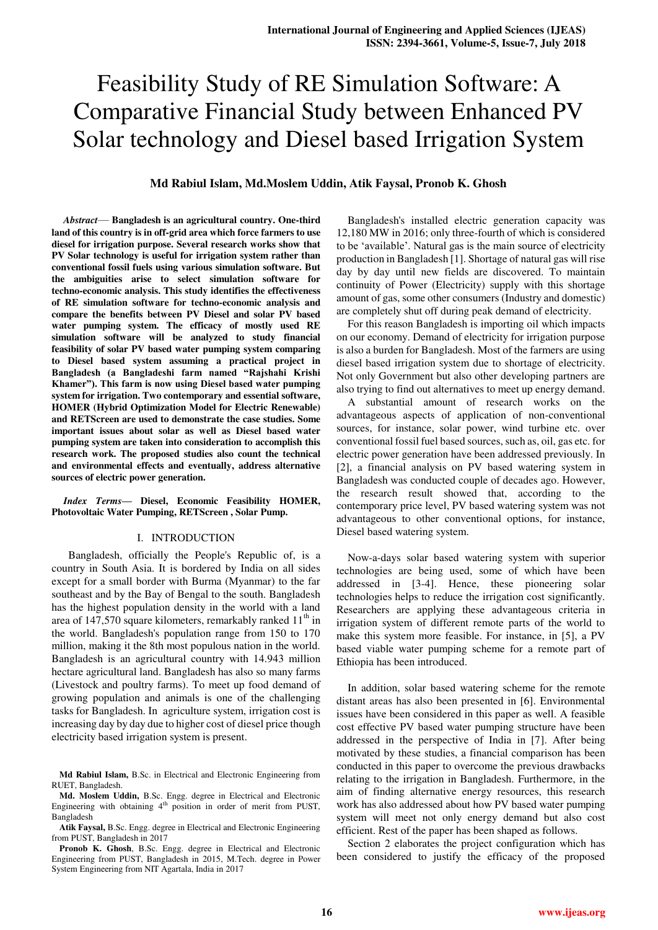# Feasibility Study of RE Simulation Software: A Comparative Financial Study between Enhanced PV Solar technology and Diesel based Irrigation System

# **Md Rabiul Islam, Md.Moslem Uddin, Atik Faysal, Pronob K. Ghosh**

Abstract— Bangladesh is an agricultural country. One-third **land of this country is in off-grid area which force farmers to use diesel for irrigation purpose. Several research works show that PV Solar technology is useful for irrigation system rather than conventional fossil fuels using various simulation software. But the ambiguities arise to select simulation software for techno-economic analysis. This study identifies the effectiveness of RE simulation software for techno-economic analysis and compare the benefits between PV Diesel and solar PV based water pumping system. The efficacy of mostly used RE simulation software will be analyzed to study financial feasibility of solar PV based water pumping system comparing to Diesel based system assuming a practical project in**  Bangladesh (a Bangladeshi farm named "Rajshahi Krishi Khamer"). This farm is now using Diesel based water pumping **system for irrigation. Two contemporary and essential software, HOMER (Hybrid Optimization Model for Electric Renewable) and RETScreen are used to demonstrate the case studies. Some important issues about solar as well as Diesel based water pumping system are taken into consideration to accomplish this research work. The proposed studies also count the technical and environmental effects and eventually, address alternative sources of electric power generation.** 

### *Index Terms***² Diesel, Economic Feasibility HOMER, Photovoltaic Water Pumping, RETScreen , Solar Pump.**

#### I. INTRODUCTION

 Bangladesh, officially the People's Republic of, is a country in South Asia. It is bordered by India on all sides except for a small border with Burma (Myanmar) to the far southeast and by the Bay of Bengal to the south. Bangladesh has the highest population density in the world with a land area of 147,570 square kilometers, remarkably ranked  $11<sup>th</sup>$  in the world. Bangladesh's population range from 150 to 170 million, making it the 8th most populous nation in the world. Bangladesh is an agricultural country with 14.943 million hectare agricultural land. Bangladesh has also so many farms (Livestock and poultry farms). To meet up food demand of growing population and animals is one of the challenging tasks for Bangladesh. In agriculture system, irrigation cost is increasing day by day due to higher cost of diesel price though electricity based irrigation system is present.

Bangladesh's installed electric generation capacity was 12,180 MW in 2016; only three-fourth of which is considered to be 'available'. Natural gas is the main source of electricity production in Bangladesh [1]. Shortage of natural gas will rise day by day until new fields are discovered. To maintain continuity of Power (Electricity) supply with this shortage amount of gas, some other consumers (Industry and domestic) are completely shut off during peak demand of electricity.

For this reason Bangladesh is importing oil which impacts on our economy. Demand of electricity for irrigation purpose is also a burden for Bangladesh. Most of the farmers are using diesel based irrigation system due to shortage of electricity. Not only Government but also other developing partners are also trying to find out alternatives to meet up energy demand.

A substantial amount of research works on the advantageous aspects of application of non-conventional sources, for instance, solar power, wind turbine etc. over conventional fossil fuel based sources, such as, oil, gas etc. for electric power generation have been addressed previously. In [2], a financial analysis on PV based watering system in Bangladesh was conducted couple of decades ago. However, the research result showed that, according to the contemporary price level, PV based watering system was not advantageous to other conventional options, for instance, Diesel based watering system.

Now-a-days solar based watering system with superior technologies are being used, some of which have been addressed in [3-4]. Hence, these pioneering solar technologies helps to reduce the irrigation cost significantly. Researchers are applying these advantageous criteria in irrigation system of different remote parts of the world to make this system more feasible. For instance, in [5], a PV based viable water pumping scheme for a remote part of Ethiopia has been introduced.

In addition, solar based watering scheme for the remote distant areas has also been presented in [6]. Environmental issues have been considered in this paper as well. A feasible cost effective PV based water pumping structure have been addressed in the perspective of India in [7]. After being motivated by these studies, a financial comparison has been conducted in this paper to overcome the previous drawbacks relating to the irrigation in Bangladesh. Furthermore, in the aim of finding alternative energy resources, this research work has also addressed about how PV based water pumping system will meet not only energy demand but also cost efficient. Rest of the paper has been shaped as follows.

Section 2 elaborates the project configuration which has been considered to justify the efficacy of the proposed

**Md Rabiul Islam,** B.Sc. in Electrical and Electronic Engineering from RUET, Bangladesh.

**Md. Moslem Uddin,** B.Sc. Engg. degree in Electrical and Electronic Engineering with obtaining  $4<sup>th</sup>$  position in order of merit from PUST, Bangladesh

**Atik Faysal,** B.Sc. Engg. degree in Electrical and Electronic Engineering from PUST, Bangladesh in 2017

Pronob K. Ghosh, B.Sc. Engg. degree in Electrical and Electronic Engineering from PUST, Bangladesh in 2015, M.Tech. degree in Power System Engineering from NIT Agartala, India in 2017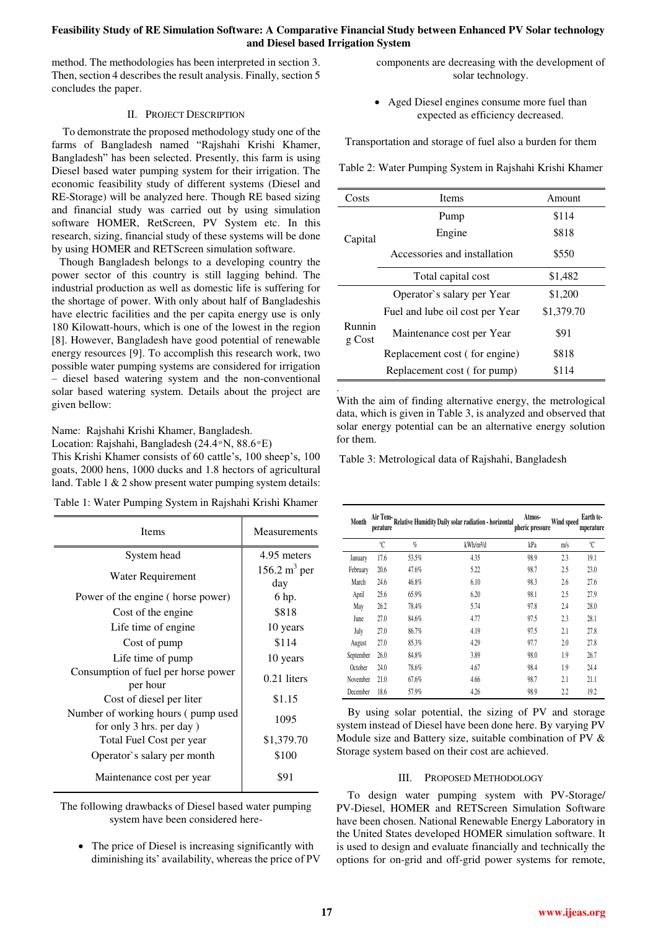# **Feasibility Study of RE Simulation Software: A Comparative Financial Study between Enhanced PV Solar technology and Diesel based Irrigation System**

.

method. The methodologies has been interpreted in section 3. Then, section 4 describes the result analysis. Finally, section 5 concludes the paper.

# II. PROJECT DESCRIPTION

To demonstrate the proposed methodology study one of the farms of Bangladesh named "Rajshahi Krishi Khamer, Bangladesh" has been selected. Presently, this farm is using Diesel based water pumping system for their irrigation. The economic feasibility study of different systems (Diesel and RE-Storage) will be analyzed here. Though RE based sizing and financial study was carried out by using simulation software HOMER, RetScreen, PV System etc. In this research, sizing, financial study of these systems will be done by using HOMER and RETScreen simulation software.

Though Bangladesh belongs to a developing country the power sector of this country is still lagging behind. The industrial production as well as domestic life is suffering for the shortage of power. With only about half of Bangladeshis have electric facilities and the per capita energy use is only 180 Kilowatt-hours, which is one of the lowest in the region [8]. However, Bangladesh have good potential of renewable energy resources [9]. To accomplish this research work, two possible water pumping systems are considered for irrigation - diesel based watering system and the non-conventional solar based watering system. Details about the project are given bellow:

Name: Rajshahi Krishi Khamer, Bangladesh.

Location: Rajshahi, Bangladesh (24.4 $\,^{\circ}$ N, 88.6 $\,^{\circ}$ E)

This Krishi Khamer consists of 60 cattle's, 100 sheep's, 100 goats, 2000 hens, 1000 ducks and 1.8 hectors of agricultural land. Table 1 & 2 show present water pumping system details:

| Table 1: Water Pumping System in Rajshahi Krishi Khamer |  |  |
|---------------------------------------------------------|--|--|
|                                                         |  |  |

| <b>Items</b>                                                   | Measurements           |  |
|----------------------------------------------------------------|------------------------|--|
| System head                                                    | 4.95 meters            |  |
| Water Requirement                                              | 156.2 $m^3$ per<br>day |  |
| Power of the engine (horse power)                              | 6 hp.                  |  |
| Cost of the engine                                             | \$818                  |  |
| Life time of engine.                                           | 10 years               |  |
| Cost of pump                                                   | \$114                  |  |
| Life time of pump                                              | 10 years               |  |
| Consumption of fuel per horse power<br>per hour                | $0.21$ liters          |  |
| Cost of diesel per liter                                       | \$1.15                 |  |
| Number of working hours (pump used<br>for only 3 hrs. per day) | 1095                   |  |
| Total Fuel Cost per year                                       | \$1,379.70             |  |
| Operator's salary per month                                    | \$100                  |  |
| Maintenance cost per year                                      | \$91                   |  |

The following drawbacks of Diesel based water pumping system have been considered here-

 $\bullet$  The price of Diesel is increasing significantly with diminishing its' availability, whereas the price of PV components are decreasing with the development of solar technology.

• Aged Diesel engines consume more fuel than expected as efficiency decreased.

Transportation and storage of fuel also a burden for them

Table 2: Water Pumping System in Rajshahi Krishi Khamer

| Costs              | <b>Items</b>                    | Amount     |
|--------------------|---------------------------------|------------|
|                    | Pump                            | \$114      |
| Capital            | Engine                          | \$818      |
|                    | Accessories and installation    | \$550      |
| Total capital cost |                                 | \$1,482    |
| Runnin<br>g Cost   | Operator's salary per Year      | \$1,200    |
|                    | Fuel and lube oil cost per Year | \$1,379.70 |
|                    | Maintenance cost per Year       | \$91       |
|                    | Replacement cost (for engine)   | \$818      |
|                    | Replacement cost (for pump)     | \$114      |

With the aim of finding alternative energy, the metrological data, which is given in Table 3, is analyzed and observed that solar energy potential can be an alternative energy solution for them.

Table 3: Metrological data of Rajshahi, Bangladesh

| Month     | Air Tem-<br>perature |       | Relative Humidity Daily solar radiation - horizontal | Atmos-<br>pheric pressure | Wind speed | Earth te-<br>mperature |
|-----------|----------------------|-------|------------------------------------------------------|---------------------------|------------|------------------------|
|           | °C                   | $q_0$ | kWh/m <sup>2</sup> /d                                | kPa                       | m/s        | °C                     |
| January   | 17.6                 | 53.5% | 4.35                                                 | 98.9                      | 2.3        | 19.1                   |
| February  | 20.6                 | 47.6% | 5.22                                                 | 98.7                      | 2.5        | 23.0                   |
| March     | 24.6                 | 46.8% | 6.10                                                 | 98.3                      | 2.6        | 27.6                   |
| April     | 25.6                 | 65.9% | 6.20                                                 | 98.1                      | 2.5        | 27.9                   |
| May       | 26.2                 | 78.4% | 5.74                                                 | 97.8                      | 2.4        | 28.0                   |
| June      | 27.0                 | 84.6% | 4.77                                                 | 97.5                      | 23         | 28.1                   |
| July      | 27.0                 | 86.7% | 4.19                                                 | 97.5                      | 2.1        | 27.8                   |
| August    | 27.0                 | 85.3% | 4.29                                                 | 97.7                      | 2.0        | 27.8                   |
| September | 26.0                 | 84.8% | 3.89                                                 | 98.0                      | 1.9        | 26.7                   |
| October   | 24.0                 | 78.6% | 4.67                                                 | 98.4                      | 1.9        | 24.4                   |
| November  | 21.0                 | 67.6% | 4.66                                                 | 98.7                      | 2.1        | 21.1                   |
| December  | 18.6                 | 57.9% | 4.26                                                 | 98.9                      | 2.2        | 19.2                   |

By using solar potential, the sizing of PV and storage system instead of Diesel have been done here. By varying PV Module size and Battery size, suitable combination of PV & Storage system based on their cost are achieved.

# III. PROPOSED METHODOLOGY

To design water pumping system with PV-Storage/ PV-Diesel, HOMER and RETScreen Simulation Software have been chosen. National Renewable Energy Laboratory in the United States developed HOMER simulation software. It is used to design and evaluate financially and technically the options for on-grid and off-grid power systems for remote,